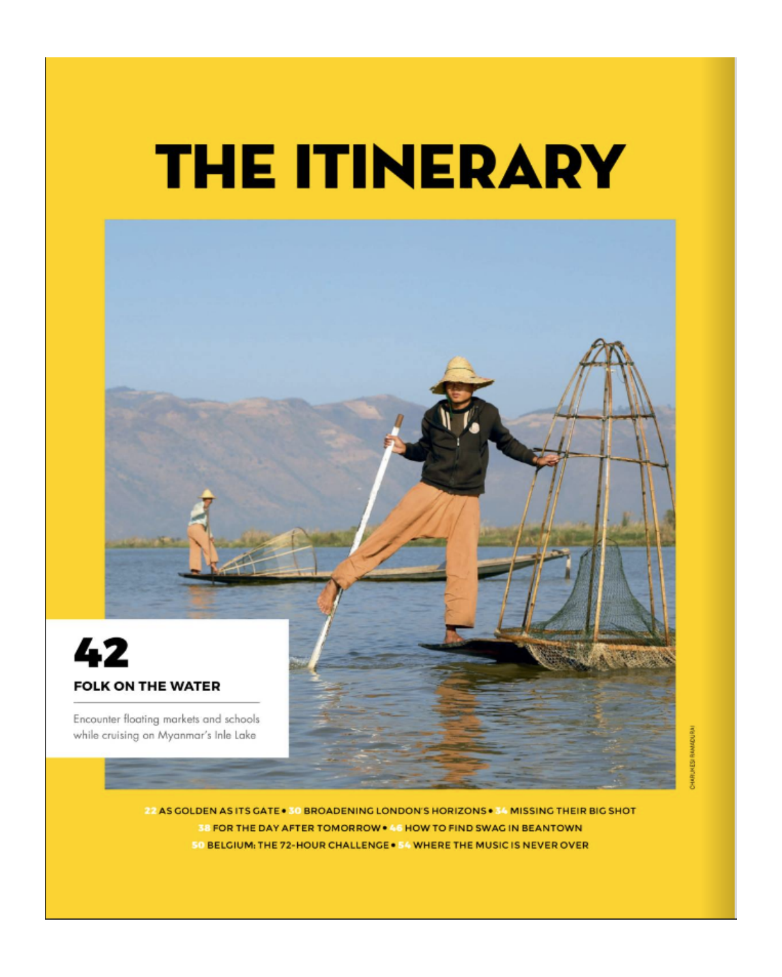## **THE ITINERARY**



**KBUNES RAMADURA** 

22 AS GOLDEN AS ITS GATE . 30 BROADENING LONDON'S HORIZONS . 34 MISSING THEIR BIG SHOT 38 FOR THE DAY AFTER TOMORROW . 46 HOW TO FIND SWAG IN BEANTOWN 50 BELGIUM: THE 72-HOUR CHALLENGE . 54 WHERE THE MUSIC IS NEVER OVER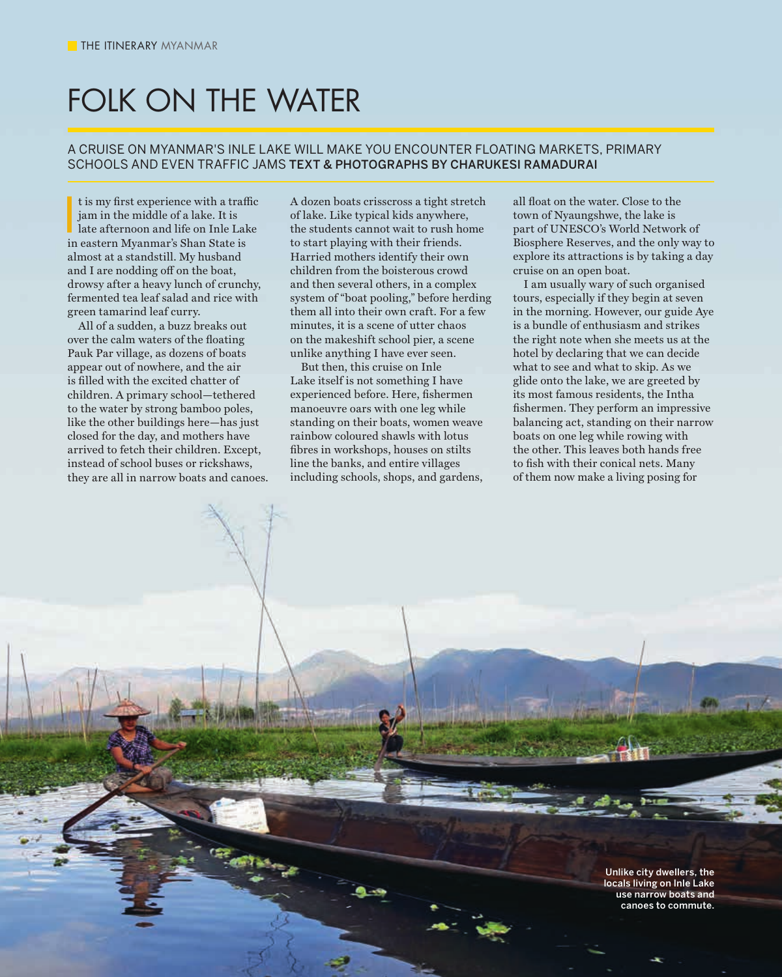## FOLK ON THE WATER

## A CRUISE ON MYANMAR'S INLE LAKE WILL MAKE YOU ENCOUNTER FLOATING MARKETS, PRIMARY SCHOOLS AND EVEN TRAFFIC JAMS TEXT & PHOTOGRAPHS BY CHARUKESI RAMADURAI

It is my first experience with a trafi<br>
jam in the middle of a lake. It is<br>
late afternoon and life on Inle Lak<br>
in eastern Myanmar's Shan State is t is my first experience with a traffic jam in the middle of a lake. It is late afternoon and life on Inle Lake almost at a standstill. My husband and I are nodding off on the boat, drowsy after a heavy lunch of crunchy, fermented tea leaf salad and rice with green tamarind leaf curry.

All of a sudden, a buzz breaks out over the calm waters of the floating Pauk Par village, as dozens of boats appear out of nowhere, and the air is filled with the excited chatter of children. A primary school—tethered to the water by strong bamboo poles, like the other buildings here—has just closed for the day, and mothers have arrived to fetch their children. Except, instead of school buses or rickshaws, they are all in narrow boats and canoes.

**42** NATIONAL GEOGRAPHIC TRAVELLER INDIA | AUGUST 2017

A dozen boats crisscross a tight stretch of lake. Like typical kids anywhere, the students cannot wait to rush home to start playing with their friends. Harried mothers identify their own children from the boisterous crowd and then several others, in a complex system of "boat pooling," before herding them all into their own craft. For a few minutes, it is a scene of utter chaos on the makeshift school pier, a scene unlike anything I have ever seen.

But then, this cruise on Inle Lake itself is not something I have experienced before. Here, fishermen manoeuvre oars with one leg while standing on their boats, women weave rainbow coloured shawls with lotus fibres in workshops, houses on stilts line the banks, and entire villages including schools, shops, and gardens,

all float on the water. Close to the town of Nyaungshwe, the lake is part of UNESCO's World Network of Biosphere Reserves, and the only way to explore its attractions is by taking a day cruise on an open boat.

I am usually wary of such organised tours, especially if they begin at seven in the morning. However, our guide Aye is a bundle of enthusiasm and strikes the right note when she meets us at the hotel by declaring that we can decide what to see and what to skip. As we glide onto the lake, we are greeted by its most famous residents, the Intha fishermen. They perform an impressive balancing act, standing on their narrow boats on one leg while rowing with the other. This leaves both hands free to fish with their conical nets. Many of them now make a living posing for

> Unlike city dwellers, the locals living on Inle Lake use narrow boats and canoes to commute.